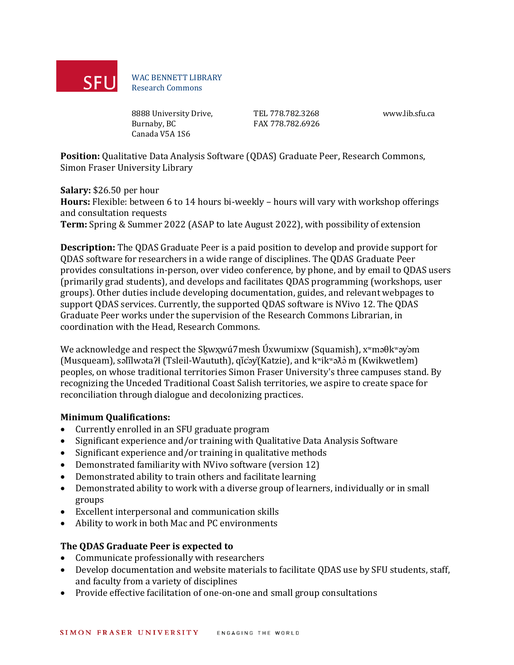

WAC BENNETT LIBRARY Research Commons

8888 University Drive, Burnaby, BC Canada V5A 1S6

TEL 778.782.3268 FAX 778.782.6926

www.lib.sfu.ca

**Position:** Qualitative Data Analysis Software (QDAS) Graduate Peer, Research Commons, Simon Fraser University Library

**Salary:** \$26.50 per hour

**Hours:** Flexible: between 6 to 14 hours bi-weekly – hours will vary with workshop offerings and consultation requests

**Term:** Spring & Summer 2022 (ASAP to late August 2022), with possibility of extension

**Description:** The QDAS Graduate Peer is a paid position to develop and provide support for QDAS software for researchers in a wide range of disciplines. The QDAS Graduate Peer provides consultations in-person, over video conference, by phone, and by email to QDAS users (primarily grad students), and develops and facilitates QDAS programming (workshops, user groups). Other duties include developing documentation, guides, and relevant webpages to support QDAS services. Currently, the supported QDAS software is NVivo 12. The QDAS Graduate Peer works under the supervision of the Research Commons Librarian, in coordination with the Head, Research Commons.

We acknowledge and respect the Skwxwú7mesh Úxwumixw (Squamish),  $x^w$ məθk $^w$ əy'əm (Musqueam), səl̓ílwətaʔɬ (Tsleil-Waututh), q̓íc̓əy̓(Katzie), and kʷikʷəƛə̓ m (Kwikwetlem) peoples, on whose traditional territories Simon Fraser University's three campuses stand. By recognizing the Unceded Traditional Coast Salish territories, we aspire to create space for reconciliation through dialogue and decolonizing practices.

### **Minimum Qualifications:**

- Currently enrolled in an SFU graduate program
- Significant experience and/or training with Qualitative Data Analysis Software
- Significant experience and/or training in qualitative methods
- Demonstrated familiarity with NVivo software (version 12)
- Demonstrated ability to train others and facilitate learning
- Demonstrated ability to work with a diverse group of learners, individually or in small groups
- Excellent interpersonal and communication skills
- Ability to work in both Mac and PC environments

# **The QDAS Graduate Peer is expected to**

- Communicate professionally with researchers
- Develop documentation and website materials to facilitate QDAS use by SFU students, staff, and faculty from a variety of disciplines
- Provide effective facilitation of one-on-one and small group consultations